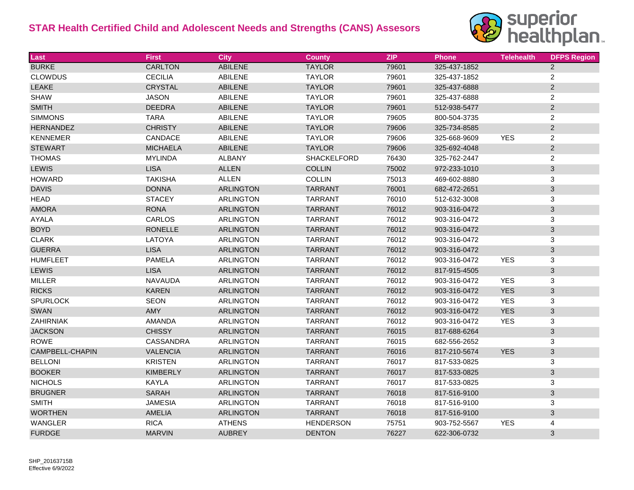

| Last             | <b>First</b>     | <b>City</b>      | <b>County</b>    | <b>ZIP</b> | <b>Phone</b> | <b>Telehealth</b> | <b>DFPS Region</b>        |
|------------------|------------------|------------------|------------------|------------|--------------|-------------------|---------------------------|
| <b>BURKE</b>     | <b>CARLTON</b>   | <b>ABILENE</b>   | <b>TAYLOR</b>    | 79601      | 325-437-1852 |                   | $\overline{2}$            |
| <b>CLOWDUS</b>   | <b>CECILIA</b>   | <b>ABILENE</b>   | <b>TAYLOR</b>    | 79601      | 325-437-1852 |                   | $\overline{c}$            |
| <b>LEAKE</b>     | <b>CRYSTAL</b>   | <b>ABILENE</b>   | <b>TAYLOR</b>    | 79601      | 325-437-6888 |                   | $\overline{2}$            |
| <b>SHAW</b>      | <b>JASON</b>     | <b>ABILENE</b>   | <b>TAYLOR</b>    | 79601      | 325-437-6888 |                   | $\sqrt{2}$                |
| <b>SMITH</b>     | <b>DEEDRA</b>    | <b>ABILENE</b>   | <b>TAYLOR</b>    | 79601      | 512-938-5477 |                   | $\overline{2}$            |
| <b>SIMMONS</b>   | <b>TARA</b>      | <b>ABILENE</b>   | <b>TAYLOR</b>    | 79605      | 800-504-3735 |                   | $\sqrt{2}$                |
| <b>HERNANDEZ</b> | <b>CHRISTY</b>   | <b>ABILENE</b>   | <b>TAYLOR</b>    | 79606      | 325-734-8585 |                   | $\overline{2}$            |
| <b>KENNEMER</b>  | CANDACE          | <b>ABILENE</b>   | <b>TAYLOR</b>    | 79606      | 325-668-9609 | <b>YES</b>        | $\overline{c}$            |
| <b>STEWART</b>   | <b>MICHAELA</b>  | <b>ABILENE</b>   | <b>TAYLOR</b>    | 79606      | 325-692-4048 |                   | $\overline{2}$            |
| <b>THOMAS</b>    | <b>MYLINDA</b>   | <b>ALBANY</b>    | SHACKELFORD      | 76430      | 325-762-2447 |                   | $\sqrt{2}$                |
| <b>LEWIS</b>     | <b>LISA</b>      | <b>ALLEN</b>     | <b>COLLIN</b>    | 75002      | 972-233-1010 |                   | $\mathbf{3}$              |
| <b>HOWARD</b>    | <b>TAKISHA</b>   | <b>ALLEN</b>     | <b>COLLIN</b>    | 75013      | 469-602-8880 |                   | $\mathsf 3$               |
| <b>DAVIS</b>     | <b>DONNA</b>     | <b>ARLINGTON</b> | <b>TARRANT</b>   | 76001      | 682-472-2651 |                   | $\sqrt{3}$                |
| <b>HEAD</b>      | <b>STACEY</b>    | <b>ARLINGTON</b> | <b>TARRANT</b>   | 76010      | 512-632-3008 |                   | 3                         |
| <b>AMORA</b>     | <b>RONA</b>      | <b>ARLINGTON</b> | <b>TARRANT</b>   | 76012      | 903-316-0472 |                   | $\sqrt{3}$                |
| AYALA            | CARLOS           | <b>ARLINGTON</b> | <b>TARRANT</b>   | 76012      | 903-316-0472 |                   | 3                         |
| <b>BOYD</b>      | <b>RONELLE</b>   | <b>ARLINGTON</b> | <b>TARRANT</b>   | 76012      | 903-316-0472 |                   | $\sqrt{3}$                |
| <b>CLARK</b>     | LATOYA           | <b>ARLINGTON</b> | <b>TARRANT</b>   | 76012      | 903-316-0472 |                   | $\ensuremath{\mathsf{3}}$ |
| <b>GUERRA</b>    | <b>LISA</b>      | <b>ARLINGTON</b> | <b>TARRANT</b>   | 76012      | 903-316-0472 |                   | $\sqrt{3}$                |
| <b>HUMFLEET</b>  | <b>PAMELA</b>    | <b>ARLINGTON</b> | <b>TARRANT</b>   | 76012      | 903-316-0472 | <b>YES</b>        | 3                         |
| <b>LEWIS</b>     | <b>LISA</b>      | <b>ARLINGTON</b> | <b>TARRANT</b>   | 76012      | 817-915-4505 |                   | $\sqrt{3}$                |
| <b>MILLER</b>    | <b>NAVAUDA</b>   | <b>ARLINGTON</b> | <b>TARRANT</b>   | 76012      | 903-316-0472 | <b>YES</b>        | 3                         |
| <b>RICKS</b>     | <b>KAREN</b>     | <b>ARLINGTON</b> | <b>TARRANT</b>   | 76012      | 903-316-0472 | <b>YES</b>        | 3                         |
| <b>SPURLOCK</b>  | <b>SEON</b>      | <b>ARLINGTON</b> | <b>TARRANT</b>   | 76012      | 903-316-0472 | <b>YES</b>        | 3                         |
| <b>SWAN</b>      | <b>AMY</b>       | <b>ARLINGTON</b> | <b>TARRANT</b>   | 76012      | 903-316-0472 | <b>YES</b>        | 3                         |
| ZAHIRNIAK        | AMANDA           | <b>ARLINGTON</b> | <b>TARRANT</b>   | 76012      | 903-316-0472 | <b>YES</b>        | 3                         |
| <b>JACKSON</b>   | <b>CHISSY</b>    | <b>ARLINGTON</b> | <b>TARRANT</b>   | 76015      | 817-688-6264 |                   | $\sqrt{3}$                |
| <b>ROWE</b>      | <b>CASSANDRA</b> | <b>ARLINGTON</b> | <b>TARRANT</b>   | 76015      | 682-556-2652 |                   | 3                         |
| CAMPBELL-CHAPIN  | <b>VALENCIA</b>  | <b>ARLINGTON</b> | <b>TARRANT</b>   | 76016      | 817-210-5674 | <b>YES</b>        | $\sqrt{3}$                |
| <b>BELLONI</b>   | <b>KRISTEN</b>   | <b>ARLINGTON</b> | <b>TARRANT</b>   | 76017      | 817-533-0825 |                   | $\mathbf{3}$              |
| <b>BOOKER</b>    | <b>KIMBERLY</b>  | <b>ARLINGTON</b> | <b>TARRANT</b>   | 76017      | 817-533-0825 |                   | $\mathbf{3}$              |
| <b>NICHOLS</b>   | <b>KAYLA</b>     | <b>ARLINGTON</b> | <b>TARRANT</b>   | 76017      | 817-533-0825 |                   | 3                         |
| <b>BRUGNER</b>   | <b>SARAH</b>     | <b>ARLINGTON</b> | <b>TARRANT</b>   | 76018      | 817-516-9100 |                   | $\sqrt{3}$                |
| <b>SMITH</b>     | <b>JAMESIA</b>   | <b>ARLINGTON</b> | TARRANT          | 76018      | 817-516-9100 |                   | 3                         |
| <b>WORTHEN</b>   | AMELIA           | <b>ARLINGTON</b> | <b>TARRANT</b>   | 76018      | 817-516-9100 |                   | $\mathbf{3}$              |
| WANGLER          | <b>RICA</b>      | <b>ATHENS</b>    | <b>HENDERSON</b> | 75751      | 903-752-5567 | <b>YES</b>        | 4                         |
| <b>FURDGE</b>    | <b>MARVIN</b>    | <b>AUBREY</b>    | <b>DENTON</b>    | 76227      | 622-306-0732 |                   | 3                         |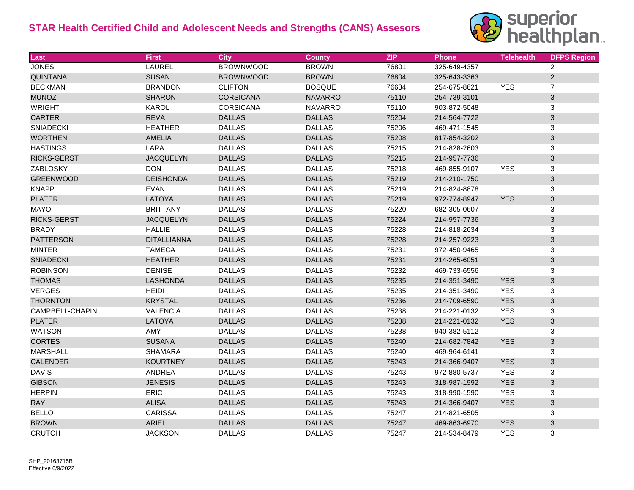

| Last               | <b>First</b>       | <b>City</b>      | <b>County</b>  | <b>ZIP</b> | <b>Phone</b> | <b>Telehealth</b> | <b>DFPS Region</b>        |
|--------------------|--------------------|------------------|----------------|------------|--------------|-------------------|---------------------------|
| <b>JONES</b>       | <b>LAUREL</b>      | <b>BROWNWOOD</b> | <b>BROWN</b>   | 76801      | 325-649-4357 |                   | $\overline{2}$            |
| <b>QUINTANA</b>    | <b>SUSAN</b>       | <b>BROWNWOOD</b> | <b>BROWN</b>   | 76804      | 325-643-3363 |                   | $\mathbf{2}$              |
| <b>BECKMAN</b>     | <b>BRANDON</b>     | <b>CLIFTON</b>   | <b>BOSQUE</b>  | 76634      | 254-675-8621 | <b>YES</b>        | $\overline{7}$            |
| <b>MUNOZ</b>       | <b>SHARON</b>      | <b>CORSICANA</b> | <b>NAVARRO</b> | 75110      | 254-739-3101 |                   | $\sqrt{3}$                |
| <b>WRIGHT</b>      | <b>KAROL</b>       | CORSICANA        | <b>NAVARRO</b> | 75110      | 903-872-5048 |                   | $\ensuremath{\mathsf{3}}$ |
| <b>CARTER</b>      | <b>REVA</b>        | <b>DALLAS</b>    | <b>DALLAS</b>  | 75204      | 214-564-7722 |                   | $\sqrt{3}$                |
| <b>SNIADECKI</b>   | <b>HEATHER</b>     | <b>DALLAS</b>    | <b>DALLAS</b>  | 75206      | 469-471-1545 |                   | $\ensuremath{\mathsf{3}}$ |
| <b>WORTHEN</b>     | <b>AMELIA</b>      | <b>DALLAS</b>    | <b>DALLAS</b>  | 75208      | 817-854-3202 |                   | $\sqrt{3}$                |
| <b>HASTINGS</b>    | LARA               | <b>DALLAS</b>    | <b>DALLAS</b>  | 75215      | 214-828-2603 |                   | $\ensuremath{\mathsf{3}}$ |
| <b>RICKS-GERST</b> | <b>JACQUELYN</b>   | <b>DALLAS</b>    | <b>DALLAS</b>  | 75215      | 214-957-7736 |                   | $\sqrt{3}$                |
| ZABLOSKY           | <b>DON</b>         | <b>DALLAS</b>    | <b>DALLAS</b>  | 75218      | 469-855-9107 | <b>YES</b>        | 3                         |
| <b>GREENWOOD</b>   | <b>DEISHONDA</b>   | <b>DALLAS</b>    | <b>DALLAS</b>  | 75219      | 214-210-1750 |                   | $\sqrt{3}$                |
| <b>KNAPP</b>       | <b>EVAN</b>        | <b>DALLAS</b>    | <b>DALLAS</b>  | 75219      | 214-824-8878 |                   | 3                         |
| <b>PLATER</b>      | LATOYA             | <b>DALLAS</b>    | <b>DALLAS</b>  | 75219      | 972-774-8947 | <b>YES</b>        | $\sqrt{3}$                |
| <b>MAYO</b>        | <b>BRITTANY</b>    | <b>DALLAS</b>    | <b>DALLAS</b>  | 75220      | 682-305-0607 |                   | 3                         |
| RICKS-GERST        | <b>JACQUELYN</b>   | <b>DALLAS</b>    | <b>DALLAS</b>  | 75224      | 214-957-7736 |                   | $\sqrt{3}$                |
| <b>BRADY</b>       | <b>HALLIE</b>      | <b>DALLAS</b>    | <b>DALLAS</b>  | 75228      | 214-818-2634 |                   | 3                         |
| <b>PATTERSON</b>   | <b>DITALLIANNA</b> | <b>DALLAS</b>    | <b>DALLAS</b>  | 75228      | 214-257-9223 |                   | $\sqrt{3}$                |
| <b>MINTER</b>      | <b>TAMECA</b>      | <b>DALLAS</b>    | <b>DALLAS</b>  | 75231      | 972-450-9465 |                   | $\ensuremath{\mathsf{3}}$ |
| <b>SNIADECKI</b>   | <b>HEATHER</b>     | <b>DALLAS</b>    | <b>DALLAS</b>  | 75231      | 214-265-6051 |                   | $\sqrt{3}$                |
| <b>ROBINSON</b>    | <b>DENISE</b>      | <b>DALLAS</b>    | <b>DALLAS</b>  | 75232      | 469-733-6556 |                   | 3                         |
| <b>THOMAS</b>      | <b>LASHONDA</b>    | <b>DALLAS</b>    | <b>DALLAS</b>  | 75235      | 214-351-3490 | <b>YES</b>        | $\mathbf{3}$              |
| <b>VERGES</b>      | <b>HEIDI</b>       | <b>DALLAS</b>    | <b>DALLAS</b>  | 75235      | 214-351-3490 | <b>YES</b>        | $\ensuremath{\mathsf{3}}$ |
| <b>THORNTON</b>    | <b>KRYSTAL</b>     | <b>DALLAS</b>    | <b>DALLAS</b>  | 75236      | 214-709-6590 | <b>YES</b>        | $\sqrt{3}$                |
| CAMPBELL-CHAPIN    | <b>VALENCIA</b>    | <b>DALLAS</b>    | <b>DALLAS</b>  | 75238      | 214-221-0132 | <b>YES</b>        | 3                         |
| <b>PLATER</b>      | LATOYA             | <b>DALLAS</b>    | <b>DALLAS</b>  | 75238      | 214-221-0132 | <b>YES</b>        | $\sqrt{3}$                |
| <b>WATSON</b>      | AMY                | <b>DALLAS</b>    | <b>DALLAS</b>  | 75238      | 940-382-5112 |                   | $\mathbf{3}$              |
| <b>CORTES</b>      | <b>SUSANA</b>      | <b>DALLAS</b>    | <b>DALLAS</b>  | 75240      | 214-682-7842 | <b>YES</b>        | $\ensuremath{\mathsf{3}}$ |
| <b>MARSHALL</b>    | <b>SHAMARA</b>     | <b>DALLAS</b>    | <b>DALLAS</b>  | 75240      | 469-964-6141 |                   | $\mathbf{3}$              |
| <b>CALENDER</b>    | <b>KOURTNEY</b>    | <b>DALLAS</b>    | <b>DALLAS</b>  | 75243      | 214-366-9407 | <b>YES</b>        | $\mathbf{3}$              |
| <b>DAVIS</b>       | ANDREA             | <b>DALLAS</b>    | <b>DALLAS</b>  | 75243      | 972-880-5737 | <b>YES</b>        | $\ensuremath{\mathsf{3}}$ |
| <b>GIBSON</b>      | <b>JENESIS</b>     | <b>DALLAS</b>    | <b>DALLAS</b>  | 75243      | 318-987-1992 | <b>YES</b>        | 3                         |
| <b>HERPIN</b>      | <b>ERIC</b>        | <b>DALLAS</b>    | <b>DALLAS</b>  | 75243      | 318-990-1590 | <b>YES</b>        | 3                         |
| <b>RAY</b>         | <b>ALISA</b>       | <b>DALLAS</b>    | <b>DALLAS</b>  | 75243      | 214-366-9407 | <b>YES</b>        | $\sqrt{3}$                |
| <b>BELLO</b>       | <b>CARISSA</b>     | <b>DALLAS</b>    | <b>DALLAS</b>  | 75247      | 214-821-6505 |                   | $\mathbf{3}$              |
| <b>BROWN</b>       | <b>ARIEL</b>       | <b>DALLAS</b>    | <b>DALLAS</b>  | 75247      | 469-863-6970 | <b>YES</b>        | $\sqrt{3}$                |
| <b>CRUTCH</b>      | <b>JACKSON</b>     | <b>DALLAS</b>    | <b>DALLAS</b>  | 75247      | 214-534-8479 | <b>YES</b>        | 3                         |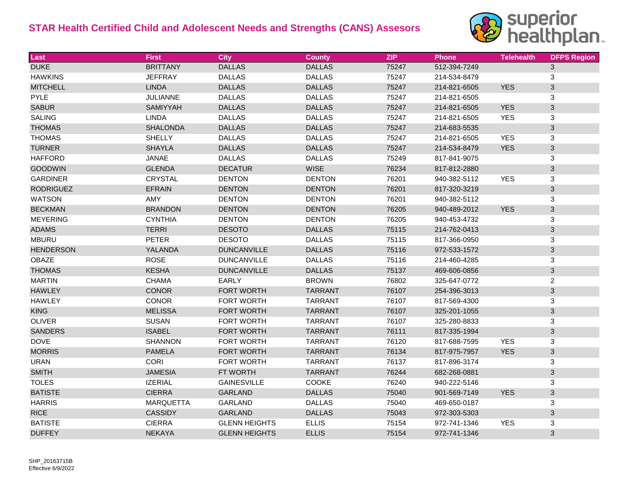

| Last             | <b>First</b>     | <b>City</b>          | <b>County</b>  | <b>ZIP</b> | <b>Phone</b> | <b>Telehealth</b> | <b>DFPS Region</b>        |
|------------------|------------------|----------------------|----------------|------------|--------------|-------------------|---------------------------|
| <b>DUKE</b>      | <b>BRITTANY</b>  | <b>DALLAS</b>        | <b>DALLAS</b>  | 75247      | 512-394-7249 |                   | $\mathbf{3}$              |
| <b>HAWKINS</b>   | <b>JEFFRAY</b>   | <b>DALLAS</b>        | <b>DALLAS</b>  | 75247      | 214-534-8479 |                   | 3                         |
| <b>MITCHELL</b>  | <b>LINDA</b>     | <b>DALLAS</b>        | <b>DALLAS</b>  | 75247      | 214-821-6505 | <b>YES</b>        | $\ensuremath{\mathsf{3}}$ |
| <b>PYLE</b>      | <b>JULIANNE</b>  | <b>DALLAS</b>        | <b>DALLAS</b>  | 75247      | 214-821-6505 |                   | 3                         |
| <b>SABUR</b>     | SAMIYYAH         | <b>DALLAS</b>        | <b>DALLAS</b>  | 75247      | 214-821-6505 | <b>YES</b>        | $\mathbf{3}$              |
| <b>SALING</b>    | <b>LINDA</b>     | <b>DALLAS</b>        | <b>DALLAS</b>  | 75247      | 214-821-6505 | <b>YES</b>        | $\ensuremath{\mathsf{3}}$ |
| <b>THOMAS</b>    | <b>SHALONDA</b>  | <b>DALLAS</b>        | <b>DALLAS</b>  | 75247      | 214-683-5535 |                   | $\mathbf{3}$              |
| <b>THOMAS</b>    | <b>SHELLY</b>    | <b>DALLAS</b>        | <b>DALLAS</b>  | 75247      | 214-821-6505 | <b>YES</b>        | $\ensuremath{\mathsf{3}}$ |
| <b>TURNER</b>    | <b>SHAYLA</b>    | <b>DALLAS</b>        | <b>DALLAS</b>  | 75247      | 214-534-8479 | <b>YES</b>        | $\sqrt{3}$                |
| <b>HAFFORD</b>   | JANAE            | <b>DALLAS</b>        | <b>DALLAS</b>  | 75249      | 817-841-9075 |                   | 3                         |
| <b>GOODWIN</b>   | <b>GLENDA</b>    | <b>DECATUR</b>       | <b>WISE</b>    | 76234      | 817-812-2880 |                   | $\mathbf{3}$              |
| <b>GARDINER</b>  | CRYSTAL          | <b>DENTON</b>        | <b>DENTON</b>  | 76201      | 940-382-5112 | <b>YES</b>        | $\ensuremath{\mathsf{3}}$ |
| <b>RODRIGUEZ</b> | <b>EFRAIN</b>    | <b>DENTON</b>        | <b>DENTON</b>  | 76201      | 817-320-3219 |                   | $\sqrt{3}$                |
| <b>WATSON</b>    | AMY              | <b>DENTON</b>        | <b>DENTON</b>  | 76201      | 940-382-5112 |                   | $\ensuremath{\mathsf{3}}$ |
| <b>BECKMAN</b>   | <b>BRANDON</b>   | <b>DENTON</b>        | <b>DENTON</b>  | 76205      | 940-489-2012 | <b>YES</b>        | $\sqrt{3}$                |
| <b>MEYERING</b>  | <b>CYNTHIA</b>   | <b>DENTON</b>        | <b>DENTON</b>  | 76205      | 940-453-4732 |                   | 3                         |
| <b>ADAMS</b>     | <b>TERRI</b>     | <b>DESOTO</b>        | <b>DALLAS</b>  | 75115      | 214-762-0413 |                   | $\sqrt{3}$                |
| <b>MBURU</b>     | <b>PETER</b>     | <b>DESOTO</b>        | <b>DALLAS</b>  | 75115      | 817-366-0950 |                   | $\ensuremath{\mathsf{3}}$ |
| <b>HENDERSON</b> | YALANDA          | <b>DUNCANVILLE</b>   | <b>DALLAS</b>  | 75116      | 972-533-1572 |                   | $\sqrt{3}$                |
| OBAZE            | <b>ROSE</b>      | <b>DUNCANVILLE</b>   | <b>DALLAS</b>  | 75116      | 214-460-4285 |                   | $\ensuremath{\mathsf{3}}$ |
| <b>THOMAS</b>    | <b>KESHA</b>     | <b>DUNCANVILLE</b>   | <b>DALLAS</b>  | 75137      | 469-606-0856 |                   | $\sqrt{3}$                |
| <b>MARTIN</b>    | <b>CHAMA</b>     | EARLY                | <b>BROWN</b>   | 76802      | 325-647-0772 |                   | $\mathbf{2}$              |
| <b>HAWLEY</b>    | <b>CONOR</b>     | FORT WORTH           | <b>TARRANT</b> | 76107      | 254-396-3013 |                   | $\sqrt{3}$                |
| <b>HAWLEY</b>    | <b>CONOR</b>     | FORT WORTH           | <b>TARRANT</b> | 76107      | 817-569-4300 |                   | $\mathbf{3}$              |
| <b>KING</b>      | <b>MELISSA</b>   | FORT WORTH           | <b>TARRANT</b> | 76107      | 325-201-1055 |                   | $\ensuremath{\mathsf{3}}$ |
| <b>OLIVER</b>    | <b>SUSAN</b>     | FORT WORTH           | <b>TARRANT</b> | 76107      | 325-280-8833 |                   | $\mathbf{3}$              |
| <b>SANDERS</b>   | <b>ISABEL</b>    | <b>FORT WORTH</b>    | <b>TARRANT</b> | 76111      | 817-335-1994 |                   | $\sqrt{3}$                |
| <b>DOVE</b>      | <b>SHANNON</b>   | FORT WORTH           | <b>TARRANT</b> | 76120      | 817-688-7595 | <b>YES</b>        | $\mathbf{3}$              |
| <b>MORRIS</b>    | <b>PAMELA</b>    | FORT WORTH           | <b>TARRANT</b> | 76134      | 817-975-7957 | <b>YES</b>        | $\mathbf{3}$              |
| <b>URAN</b>      | <b>CORI</b>      | FORT WORTH           | <b>TARRANT</b> | 76137      | 817-896-3174 |                   | 3                         |
| <b>SMITH</b>     | <b>JAMESIA</b>   | FT WORTH             | <b>TARRANT</b> | 76244      | 682-268-0881 |                   | $\sqrt{3}$                |
| <b>TOLES</b>     | <b>IZERIAL</b>   | <b>GAINESVILLE</b>   | <b>COOKE</b>   | 76240      | 940-222-5146 |                   | 3                         |
| <b>BATISTE</b>   | <b>CIERRA</b>    | <b>GARLAND</b>       | <b>DALLAS</b>  | 75040      | 901-569-7149 | <b>YES</b>        | $\sqrt{3}$                |
| <b>HARRIS</b>    | <b>MARQUETTA</b> | <b>GARLAND</b>       | <b>DALLAS</b>  | 75040      | 469-650-0187 |                   | 3                         |
| <b>RICE</b>      | <b>CASSIDY</b>   | <b>GARLAND</b>       | <b>DALLAS</b>  | 75043      | 972-303-5303 |                   | $\sqrt{3}$                |
| <b>BATISTE</b>   | <b>CIERRA</b>    | <b>GLENN HEIGHTS</b> | <b>ELLIS</b>   | 75154      | 972-741-1346 | <b>YES</b>        | $\ensuremath{\mathsf{3}}$ |
| <b>DUFFEY</b>    | <b>NEKAYA</b>    | <b>GLENN HEIGHTS</b> | <b>ELLIS</b>   | 75154      | 972-741-1346 |                   | $\mathfrak{S}$            |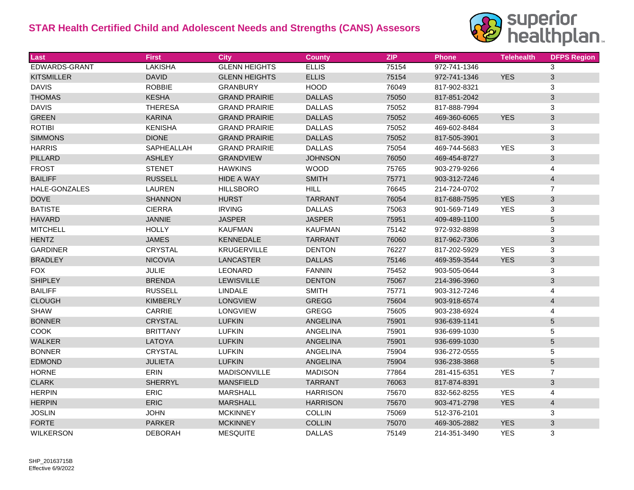

| Last              | <b>First</b>    | <b>City</b>          | <b>County</b>   | <b>ZIP</b> | <b>Phone</b> | <b>Telehealth</b> | <b>DFPS Region</b> |
|-------------------|-----------------|----------------------|-----------------|------------|--------------|-------------------|--------------------|
| EDWARDS-GRANT     | <b>LAKISHA</b>  | <b>GLENN HEIGHTS</b> | <b>ELLIS</b>    | 75154      | 972-741-1346 |                   | 3                  |
| <b>KITSMILLER</b> | <b>DAVID</b>    | <b>GLENN HEIGHTS</b> | <b>ELLIS</b>    | 75154      | 972-741-1346 | <b>YES</b>        | $\mathfrak{S}$     |
| <b>DAVIS</b>      | <b>ROBBIE</b>   | <b>GRANBURY</b>      | <b>HOOD</b>     | 76049      | 817-902-8321 |                   | 3                  |
| <b>THOMAS</b>     | <b>KESHA</b>    | <b>GRAND PRAIRIE</b> | <b>DALLAS</b>   | 75050      | 817-851-2042 |                   | 3                  |
| <b>DAVIS</b>      | <b>THERESA</b>  | <b>GRAND PRAIRIE</b> | <b>DALLAS</b>   | 75052      | 817-888-7994 |                   | 3                  |
| <b>GREEN</b>      | <b>KARINA</b>   | <b>GRAND PRAIRIE</b> | <b>DALLAS</b>   | 75052      | 469-360-6065 | <b>YES</b>        | 3                  |
| <b>ROTIBI</b>     | <b>KENISHA</b>  | <b>GRAND PRAIRIE</b> | <b>DALLAS</b>   | 75052      | 469-602-8484 |                   | 3                  |
| <b>SIMMONS</b>    | <b>DIONE</b>    | <b>GRAND PRAIRIE</b> | <b>DALLAS</b>   | 75052      | 817-505-3901 |                   | 3                  |
| <b>HARRIS</b>     | SAPHEALLAH      | <b>GRAND PRAIRIE</b> | <b>DALLAS</b>   | 75054      | 469-744-5683 | <b>YES</b>        | 3                  |
| <b>PILLARD</b>    | <b>ASHLEY</b>   | <b>GRANDVIEW</b>     | <b>JOHNSON</b>  | 76050      | 469-454-8727 |                   | 3                  |
| <b>FROST</b>      | <b>STENET</b>   | <b>HAWKINS</b>       | <b>WOOD</b>     | 75765      | 903-279-9266 |                   | 4                  |
| <b>BAILIFF</b>    | <b>RUSSELL</b>  | <b>HIDE A WAY</b>    | <b>SMITH</b>    | 75771      | 903-312-7246 |                   | 4                  |
| HALE-GONZALES     | <b>LAUREN</b>   | <b>HILLSBORO</b>     | <b>HILL</b>     | 76645      | 214-724-0702 |                   | $\overline{7}$     |
| <b>DOVE</b>       | <b>SHANNON</b>  | <b>HURST</b>         | <b>TARRANT</b>  | 76054      | 817-688-7595 | <b>YES</b>        | $\mathfrak{S}$     |
| <b>BATISTE</b>    | <b>CIERRA</b>   | <b>IRVING</b>        | <b>DALLAS</b>   | 75063      | 901-569-7149 | <b>YES</b>        | 3                  |
| <b>HAVARD</b>     | <b>JANNIE</b>   | <b>JASPER</b>        | <b>JASPER</b>   | 75951      | 409-489-1100 |                   | 5                  |
| <b>MITCHELL</b>   | <b>HOLLY</b>    | <b>KAUFMAN</b>       | <b>KAUFMAN</b>  | 75142      | 972-932-8898 |                   | 3                  |
| <b>HENTZ</b>      | <b>JAMES</b>    | KENNEDALE            | <b>TARRANT</b>  | 76060      | 817-962-7306 |                   | 3                  |
| <b>GARDINER</b>   | CRYSTAL         | <b>KRUGERVILLE</b>   | <b>DENTON</b>   | 76227      | 817-202-5929 | <b>YES</b>        | 3                  |
| <b>BRADLEY</b>    | <b>NICOVIA</b>  | <b>LANCASTER</b>     | <b>DALLAS</b>   | 75146      | 469-359-3544 | <b>YES</b>        | $\mathfrak{S}$     |
| <b>FOX</b>        | <b>JULIE</b>    | LEONARD              | <b>FANNIN</b>   | 75452      | 903-505-0644 |                   | 3                  |
| <b>SHIPLEY</b>    | <b>BRENDA</b>   | LEWISVILLE           | <b>DENTON</b>   | 75067      | 214-396-3960 |                   | 3                  |
| <b>BAILIFF</b>    | <b>RUSSELL</b>  | <b>LINDALE</b>       | <b>SMITH</b>    | 75771      | 903-312-7246 |                   | 4                  |
| <b>CLOUGH</b>     | <b>KIMBERLY</b> | <b>LONGVIEW</b>      | <b>GREGG</b>    | 75604      | 903-918-6574 |                   | $\overline{4}$     |
| <b>SHAW</b>       | CARRIE          | <b>LONGVIEW</b>      | <b>GREGG</b>    | 75605      | 903-238-6924 |                   | 4                  |
| <b>BONNER</b>     | <b>CRYSTAL</b>  | <b>LUFKIN</b>        | ANGELINA        | 75901      | 936-639-1141 |                   | 5                  |
| <b>COOK</b>       | <b>BRITTANY</b> | <b>LUFKIN</b>        | ANGELINA        | 75901      | 936-699-1030 |                   | 5                  |
| <b>WALKER</b>     | LATOYA          | <b>LUFKIN</b>        | ANGELINA        | 75901      | 936-699-1030 |                   | 5                  |
| <b>BONNER</b>     | <b>CRYSTAL</b>  | <b>LUFKIN</b>        | ANGELINA        | 75904      | 936-272-0555 |                   | 5                  |
| <b>EDMOND</b>     | <b>JULIETA</b>  | <b>LUFKIN</b>        | ANGELINA        | 75904      | 936-238-3868 |                   | 5                  |
| <b>HORNE</b>      | ERIN            | <b>MADISONVILLE</b>  | <b>MADISON</b>  | 77864      | 281-415-6351 | <b>YES</b>        | $\overline{7}$     |
| <b>CLARK</b>      | <b>SHERRYL</b>  | <b>MANSFIELD</b>     | <b>TARRANT</b>  | 76063      | 817-874-8391 |                   | 3                  |
| <b>HERPIN</b>     | ERIC            | <b>MARSHALL</b>      | <b>HARRISON</b> | 75670      | 832-562-8255 | <b>YES</b>        | 4                  |
| <b>HERPIN</b>     | <b>ERIC</b>     | <b>MARSHALL</b>      | <b>HARRISON</b> | 75670      | 903-471-2798 | <b>YES</b>        | $\overline{4}$     |
| <b>JOSLIN</b>     | <b>JOHN</b>     | <b>MCKINNEY</b>      | COLLIN          | 75069      | 512-376-2101 |                   | $\mathbf{3}$       |
| <b>FORTE</b>      | <b>PARKER</b>   | <b>MCKINNEY</b>      | <b>COLLIN</b>   | 75070      | 469-305-2882 | <b>YES</b>        | $\mathfrak{S}$     |
| <b>WILKERSON</b>  | <b>DEBORAH</b>  | <b>MESQUITE</b>      | <b>DALLAS</b>   | 75149      | 214-351-3490 | <b>YES</b>        | 3                  |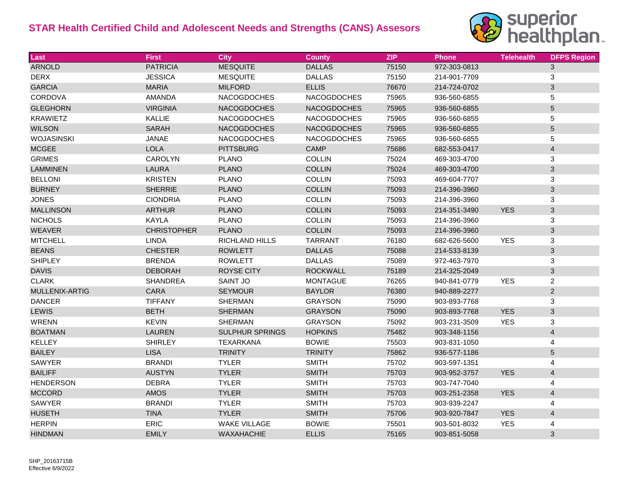

| Last              | <b>First</b>       | <b>City</b>            | <b>County</b>      | <b>ZIP</b> | <b>Phone</b> | <b>Telehealth</b> | <b>DFPS Region</b>        |
|-------------------|--------------------|------------------------|--------------------|------------|--------------|-------------------|---------------------------|
| <b>ARNOLD</b>     | <b>PATRICIA</b>    | <b>MESQUITE</b>        | <b>DALLAS</b>      | 75150      | 972-303-0813 |                   | 3                         |
| <b>DERX</b>       | <b>JESSICA</b>     | <b>MESQUITE</b>        | <b>DALLAS</b>      | 75150      | 214-901-7709 |                   | 3                         |
| <b>GARCIA</b>     | <b>MARIA</b>       | <b>MILFORD</b>         | <b>ELLIS</b>       | 76670      | 214-724-0702 |                   | $\sqrt{3}$                |
| <b>CORDOVA</b>    | <b>AMANDA</b>      | <b>NACOGDOCHES</b>     | <b>NACOGDOCHES</b> | 75965      | 936-560-6855 |                   | 5                         |
| <b>GLEGHORN</b>   | <b>VIRGINIA</b>    | <b>NACOGDOCHES</b>     | <b>NACOGDOCHES</b> | 75965      | 936-560-6855 |                   | $\overline{5}$            |
| <b>KRAWIETZ</b>   | <b>KALLIE</b>      | <b>NACOGDOCHES</b>     | <b>NACOGDOCHES</b> | 75965      | 936-560-6855 |                   | 5                         |
| <b>WILSON</b>     | <b>SARAH</b>       | <b>NACOGDOCHES</b>     | <b>NACOGDOCHES</b> | 75965      | 936-560-6855 |                   | $\sqrt{5}$                |
| <b>WOJASINSKI</b> | JANAE              | <b>NACOGDOCHES</b>     | <b>NACOGDOCHES</b> | 75965      | 936-560-6855 |                   | $\mathbf 5$               |
| <b>MCGEE</b>      | <b>LOLA</b>        | <b>PITTSBURG</b>       | <b>CAMP</b>        | 75686      | 682-553-0417 |                   | $\overline{4}$            |
| <b>GRIMES</b>     | CAROLYN            | <b>PLANO</b>           | <b>COLLIN</b>      | 75024      | 469-303-4700 |                   | $\ensuremath{\mathsf{3}}$ |
| <b>LAMMINEN</b>   | <b>LAURA</b>       | <b>PLANO</b>           | <b>COLLIN</b>      | 75024      | 469-303-4700 |                   | $\sqrt{3}$                |
| <b>BELLONI</b>    | <b>KRISTEN</b>     | <b>PLANO</b>           | <b>COLLIN</b>      | 75093      | 469-604-7707 |                   | $\sqrt{3}$                |
| <b>BURNEY</b>     | <b>SHERRIE</b>     | <b>PLANO</b>           | <b>COLLIN</b>      | 75093      | 214-396-3960 |                   | $\mathbf{3}$              |
| <b>JONES</b>      | <b>CIONDRIA</b>    | <b>PLANO</b>           | <b>COLLIN</b>      | 75093      | 214-396-3960 |                   | $\ensuremath{\mathsf{3}}$ |
| <b>MALLINSON</b>  | <b>ARTHUR</b>      | <b>PLANO</b>           | <b>COLLIN</b>      | 75093      | 214-351-3490 | <b>YES</b>        | $\mathbf{3}$              |
| <b>NICHOLS</b>    | KAYLA              | <b>PLANO</b>           | <b>COLLIN</b>      | 75093      | 214-396-3960 |                   | 3                         |
| <b>WEAVER</b>     | <b>CHRISTOPHER</b> | <b>PLANO</b>           | <b>COLLIN</b>      | 75093      | 214-396-3960 |                   | $\mathbf{3}$              |
| <b>MITCHELL</b>   | <b>LINDA</b>       | <b>RICHLAND HILLS</b>  | <b>TARRANT</b>     | 76180      | 682-626-5600 | <b>YES</b>        | $\ensuremath{\mathsf{3}}$ |
| <b>BEANS</b>      | <b>CHESTER</b>     | <b>ROWLETT</b>         | <b>DALLAS</b>      | 75088      | 214-533-8139 |                   | $\mathbf{3}$              |
| <b>SHIPLEY</b>    | <b>BRENDA</b>      | <b>ROWLETT</b>         | <b>DALLAS</b>      | 75089      | 972-463-7970 |                   | 3                         |
| <b>DAVIS</b>      | <b>DEBORAH</b>     | <b>ROYSE CITY</b>      | <b>ROCKWALL</b>    | 75189      | 214-325-2049 |                   | $\mathfrak{S}$            |
| <b>CLARK</b>      | <b>SHANDREA</b>    | <b>SAINT JO</b>        | <b>MONTAGUE</b>    | 76265      | 940-841-0779 | <b>YES</b>        | $\overline{c}$            |
| MULLENIX-ARTIG    | <b>CARA</b>        | <b>SEYMOUR</b>         | <b>BAYLOR</b>      | 76380      | 940-889-2277 |                   | $\overline{2}$            |
| <b>DANCER</b>     | <b>TIFFANY</b>     | <b>SHERMAN</b>         | <b>GRAYSON</b>     | 75090      | 903-893-7768 |                   | 3                         |
| <b>LEWIS</b>      | <b>BETH</b>        | <b>SHERMAN</b>         | <b>GRAYSON</b>     | 75090      | 903-893-7768 | <b>YES</b>        | $\mathbf{3}$              |
| <b>WRENN</b>      | <b>KEVIN</b>       | <b>SHERMAN</b>         | <b>GRAYSON</b>     | 75092      | 903-231-3509 | <b>YES</b>        | 3                         |
| <b>BOATMAN</b>    | <b>LAUREN</b>      | <b>SULPHUR SPRINGS</b> | <b>HOPKINS</b>     | 75482      | 903-348-1156 |                   | $\overline{4}$            |
| <b>KELLEY</b>     | <b>SHIRLEY</b>     | <b>TEXARKANA</b>       | <b>BOWIE</b>       | 75503      | 903-831-1050 |                   | 4                         |
| <b>BAILEY</b>     | <b>LISA</b>        | <b>TRINITY</b>         | <b>TRINITY</b>     | 75862      | 936-577-1186 |                   | $\sqrt{5}$                |
| <b>SAWYER</b>     | <b>BRANDI</b>      | <b>TYLER</b>           | <b>SMITH</b>       | 75702      | 903-597-1351 |                   | $\overline{\mathbf{4}}$   |
| <b>BAILIFF</b>    | <b>AUSTYN</b>      | <b>TYLER</b>           | <b>SMITH</b>       | 75703      | 903-952-3757 | <b>YES</b>        | $\overline{4}$            |
| <b>HENDERSON</b>  | <b>DEBRA</b>       | <b>TYLER</b>           | <b>SMITH</b>       | 75703      | 903-747-7040 |                   | 4                         |
| <b>MCCORD</b>     | AMOS               | <b>TYLER</b>           | <b>SMITH</b>       | 75703      | 903-251-2358 | <b>YES</b>        | $\overline{4}$            |
| SAWYER            | <b>BRANDI</b>      | <b>TYLER</b>           | <b>SMITH</b>       | 75703      | 903-939-2247 |                   | 4                         |
| <b>HUSETH</b>     | <b>TINA</b>        | <b>TYLER</b>           | <b>SMITH</b>       | 75706      | 903-920-7847 | <b>YES</b>        | $\overline{4}$            |
| <b>HERPIN</b>     | ERIC               | <b>WAKE VILLAGE</b>    | <b>BOWIE</b>       | 75501      | 903-501-8032 | <b>YES</b>        | 4                         |
| <b>HINDMAN</b>    | <b>EMILY</b>       | WAXAHACHIE             | <b>ELLIS</b>       | 75165      | 903-851-5058 |                   | $\mathfrak{S}$            |